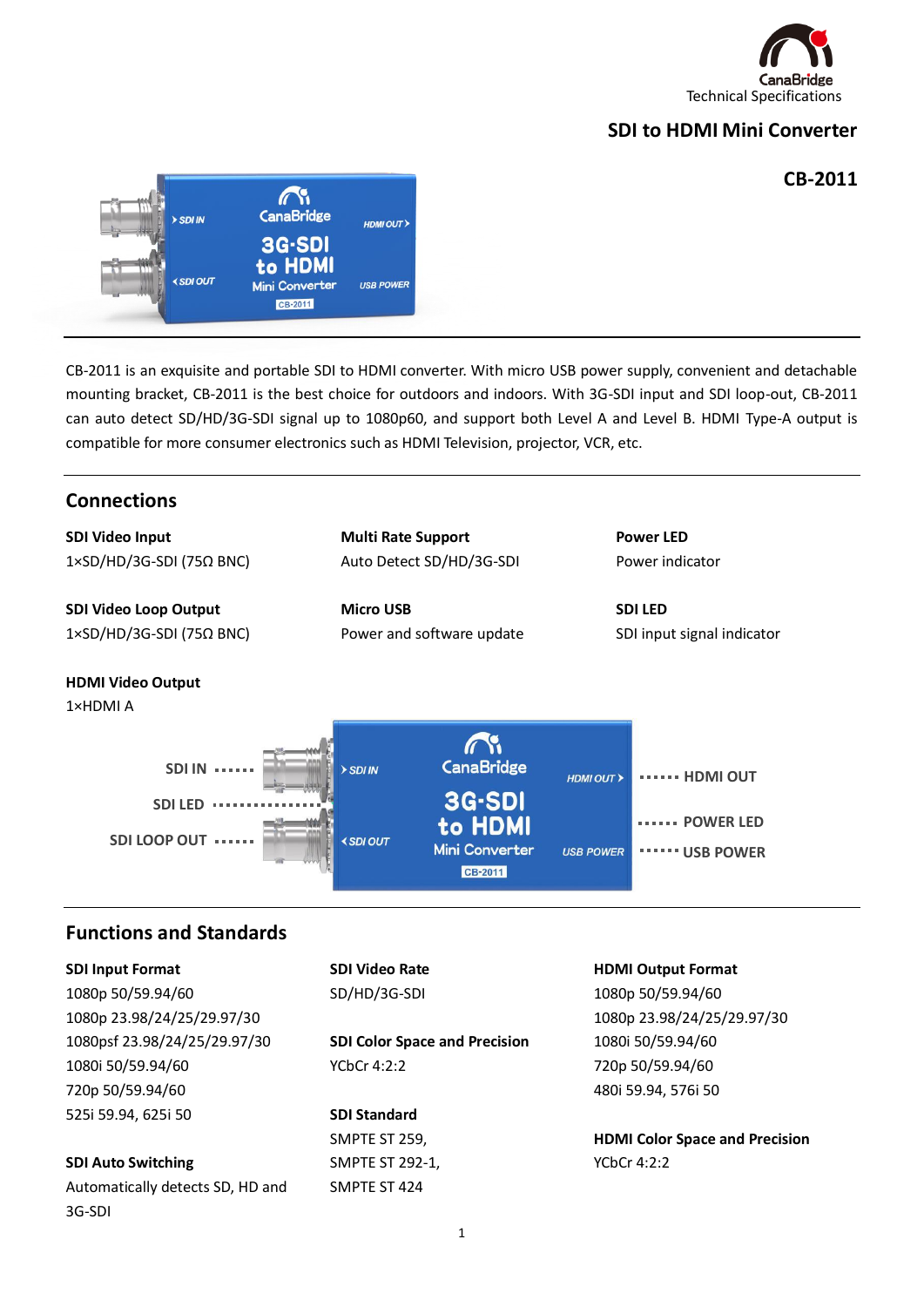

# **SDI to HDMI Mini Converter**

#### **CB-2011**



CB-2011 is an exquisite and portable SDI to HDMI converter. With micro USB power supply, convenient and detachable mounting bracket, CB-2011 is the best choice for outdoors and indoors. With 3G-SDI input and SDI loop-out, CB-2011 can auto detect SD/HD/3G-SDI signal up to 1080p60, and support both Level A and Level B. HDMI Type-A output is compatible for more consumer electronics such as HDMI Television, projector, VCR, etc.



1

**HDMI Color Space and Precision** YCbCr 4:2:2

SMPTE ST 424

**SDI Standard** SMPTE ST 259, SMPTE ST 292-1,

525i 59.94, 625i 50

**SDI Auto Switching**

3G-SDI

Automatically detects SD, HD and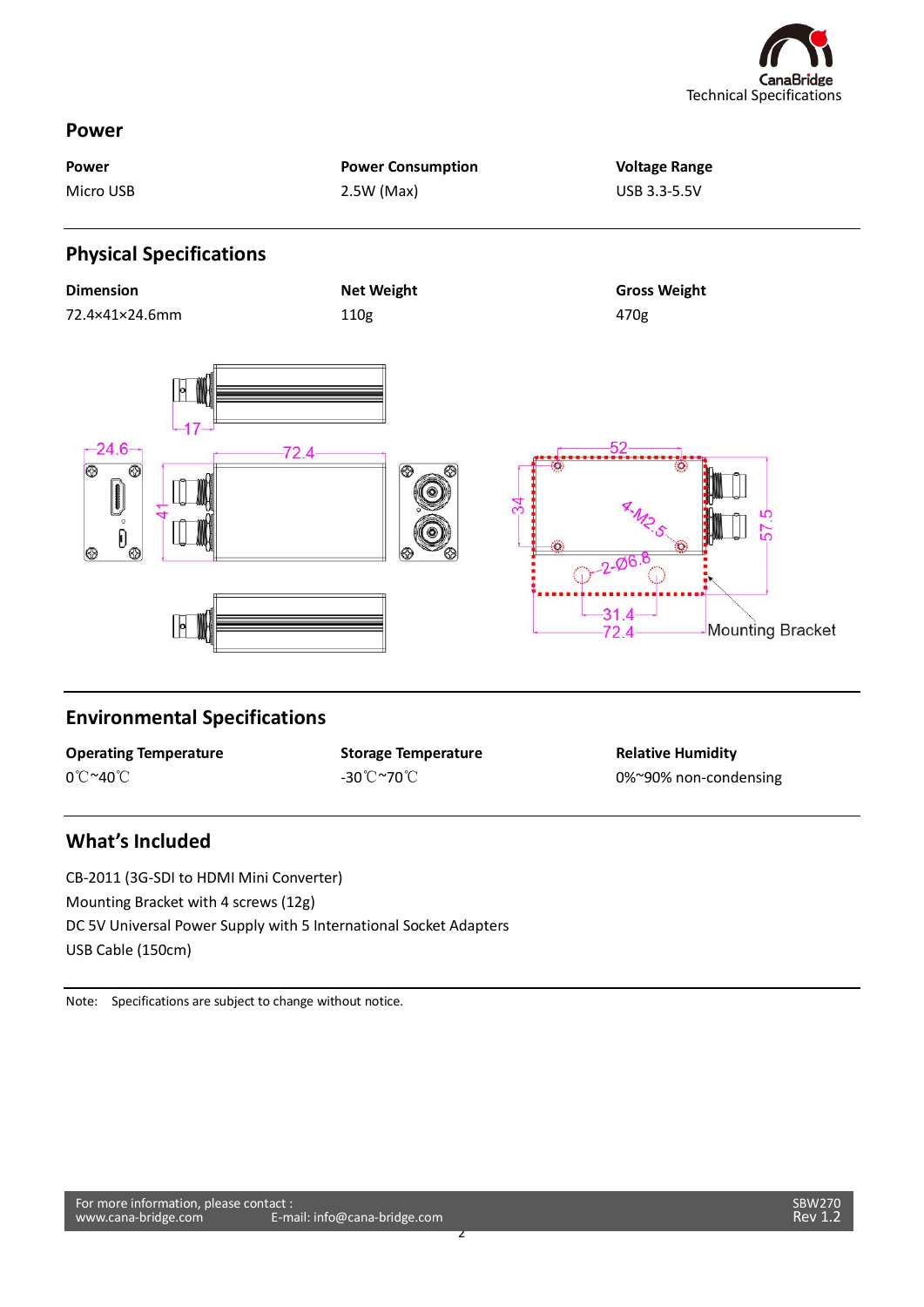

#### **Power**

| Power<br>Micro USB                                                                                                                                                                                                                                                                          | <b>Power Consumption</b><br>2.5W (Max) | <b>Voltage Range</b><br>USB 3.3-5.5V     |
|---------------------------------------------------------------------------------------------------------------------------------------------------------------------------------------------------------------------------------------------------------------------------------------------|----------------------------------------|------------------------------------------|
| <b>Physical Specifications</b>                                                                                                                                                                                                                                                              |                                        |                                          |
| <b>Dimension</b>                                                                                                                                                                                                                                                                            | <b>Net Weight</b>                      | <b>Gross Weight</b>                      |
| 72.4×41×24.6mm                                                                                                                                                                                                                                                                              | 110g                                   | 470g                                     |
| $-24.6 -$<br>$\circledcirc$<br>⊛<br>$\begin{tabular}{ c c } \hline \quad \quad & \quad \quad & \quad \quad \\ \hline \quad \quad & \quad \quad & \quad \quad \\ \hline \quad \quad & \quad \quad & \quad \quad \\ \hline \end{tabular}$<br>$\overline{\overset{\circ}{\mathfrak{g}}}$<br> ⊗ | $72.4 -$<br>ၜ<br>⊛                     | 52<br>34<br>57<br>$-2 - 06.8$<br>$-31.4$ |

## **Environmental Specifications**

|          | <b>Operating Temperature</b> |
|----------|------------------------------|
| 0°C~40°C |                              |

**Storage Temperature** -30℃~70℃

2

**Relative Humidity** 0%~90% non-condensing

## **What's Included**

CB-2011 (3G-SDI to HDMI Mini Converter) Mounting Bracket with 4 screws (12g) DC 5V Universal Power Supply with 5 International Socket Adapters USB Cable (150cm)

Note: Specifications are subject to change without notice.

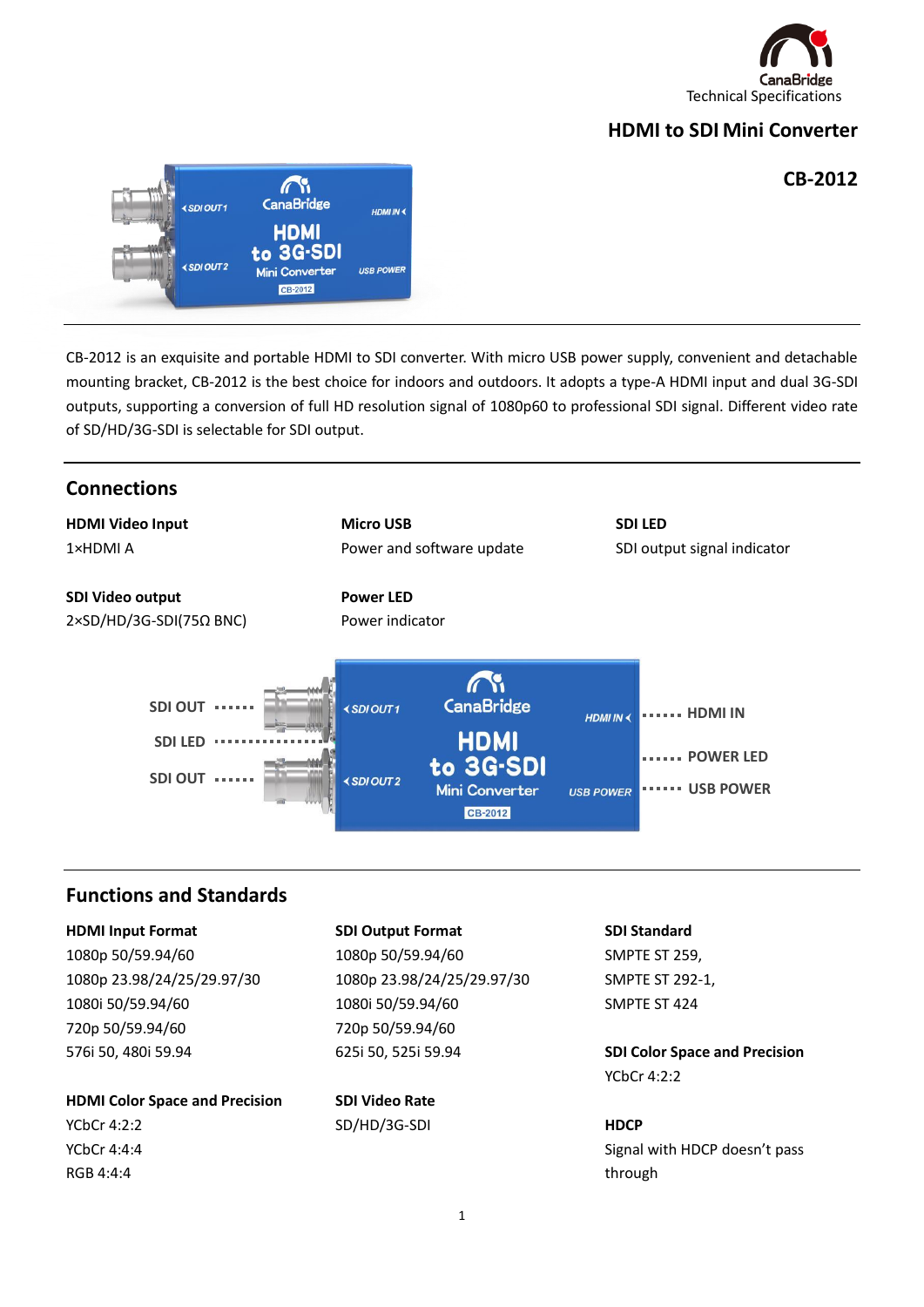

# **HDMI to SDI Mini Converter**

## **CB-2012**



CB-2012 is an exquisite and portable HDMI to SDI converter. With micro USB power supply, convenient and detachable mounting bracket, CB-2012 is the best choice for indoors and outdoors. It adopts a type-A HDMI input and dual 3G-SDI outputs, supporting a conversion of full HD resolution signal of 1080p60 to professional SDI signal. Different video rate of SD/HD/3G-SDI is selectable for SDI output.



**HDMI Color Space and Precision** YCbCr 4:2:2 YCbCr 4:4:4 RGB 4:4:4

**SDI Video Rate** SD/HD/3G-SDI

YCbCr 4:2:2

#### **HDCP**

Signal with HDCP doesn't pass through